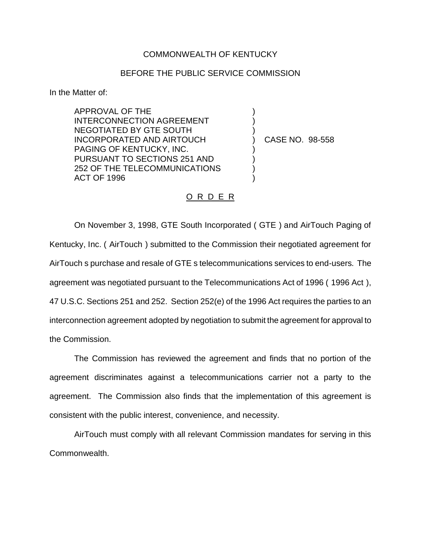## COMMONWEALTH OF KENTUCKY

## BEFORE THE PUBLIC SERVICE COMMISSION

) ) )

) ) ) )

In the Matter of:

APPROVAL OF THE INTERCONNECTION AGREEMENT NEGOTIATED BY GTE SOUTH INCORPORATED AND AIRTOUCH PAGING OF KENTUCKY, INC. PURSUANT TO SECTIONS 251 AND 252 OF THE TELECOMMUNICATIONS ACT OF 1996

) CASE NO. 98-558

## O R D E R

On November 3, 1998, GTE South Incorporated ( GTE ) and AirTouch Paging of Kentucky, Inc. ( AirTouch ) submitted to the Commission their negotiated agreement for AirTouch s purchase and resale of GTE s telecommunications services to end-users. The agreement was negotiated pursuant to the Telecommunications Act of 1996 ( 1996 Act ), 47 U.S.C. Sections 251 and 252. Section 252(e) of the 1996 Act requires the parties to an interconnection agreement adopted by negotiation to submit the agreement for approval to the Commission.

The Commission has reviewed the agreement and finds that no portion of the agreement discriminates against a telecommunications carrier not a party to the agreement. The Commission also finds that the implementation of this agreement is consistent with the public interest, convenience, and necessity.

AirTouch must comply with all relevant Commission mandates for serving in this Commonwealth.